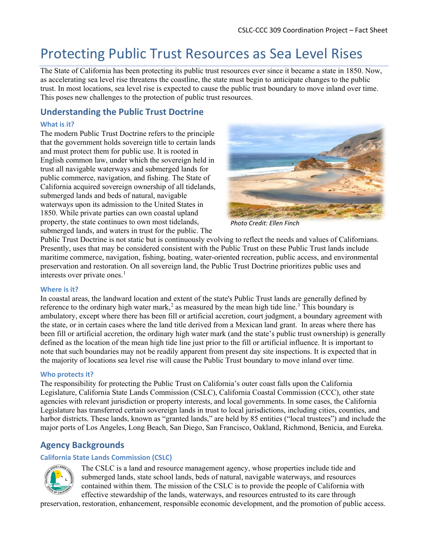# Protecting Public Trust Resources as Sea Level Rises

The State of California has been protecting its public trust resources ever since it became a state in 1850. Now, as accelerating sea level rise threatens the coastline, the state must begin to anticipate changes to the public trust. In most locations, sea level rise is expected to cause the public trust boundary to move inland over time. This poses new challenges to the protection of public trust resources.

## **Understanding the Public Trust Doctrine**

#### **What is it?**

The modern Public Trust Doctrine refers to the principle that the government holds sovereign title to certain lands and must protect them for public use. It is rooted in English common law, under which the sovereign held in trust all navigable waterways and submerged lands for public commerce, navigation, and fishing. The State of California acquired sovereign ownership of all tidelands, submerged lands and beds of natural, navigable waterways upon its admission to the United States in 1850. While private parties can own coastal upland property, the state continues to own most tidelands, submerged lands, and waters in trust for the public. The



*Photo Credit: Ellen Finch*

Public Trust Doctrine is not static but is continuously evolving to reflect the needs and values of Californians. Presently, uses that may be considered consistent with the Public Trust on these Public Trust lands include maritime commerce, navigation, fishing, boating, water-oriented recreation, public access, and environmental preservation and restoration. On all sovereign land, the Public Trust Doctrine prioritizes public uses and interests over private ones.<sup>[1](#page-2-0)</sup>

#### **Where is it?**

In coastal areas, the landward location and extent of the state's Public Trust lands are generally defined by reference to the ordinary high water mark,<sup>[2](#page-2-1)</sup> as measured by the mean high tide line.<sup>[3](#page-2-2)</sup> This boundary is ambulatory, except where there has been fill or artificial accretion, court judgment, a boundary agreement with the state, or in certain cases where the land title derived from a Mexican land grant. In areas where there has been fill or artificial accretion, the ordinary high water mark (and the state's public trust ownership) is generally defined as the location of the mean high tide line just prior to the fill or artificial influence. It is important to note that such boundaries may not be readily apparent from present day site inspections. It is expected that in the majority of locations sea level rise will cause the Public Trust boundary to move inland over time.

#### **Who protects it?**

The responsibility for protecting the Public Trust on California's outer coast falls upon the California Legislature, California State Lands Commission (CSLC), California Coastal Commission (CCC), other state agencies with relevant jurisdiction or property interests, and local governments. In some cases, the California Legislature has transferred certain sovereign lands in trust to local jurisdictions, including cities, counties, and harbor districts. These lands, known as "granted lands," are held by 85 entities ("local trustees") and include the major ports of Los Angeles, Long Beach, San Diego, San Francisco, Oakland, Richmond, Benicia, and Eureka.

## **Agency Backgrounds**

#### **California State Lands Commission (CSLC)**



The CSLC is a land and resource management agency, whose properties include tide and submerged lands, state school lands, beds of natural, navigable waterways, and resources contained within them. The mission of the CSLC is to provide the people of California with effective stewardship of the lands, waterways, and resources entrusted to its care through

preservation, restoration, enhancement, responsible economic development, and the promotion of public access.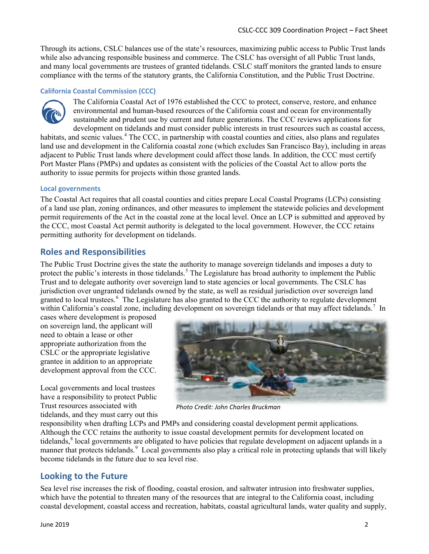Through its actions, CSLC balances use of the state's resources, maximizing public access to Public Trust lands while also advancing responsible business and commerce. The CSLC has oversight of all Public Trust lands, and many local governments are trustees of granted tidelands. CSLC staff monitors the granted lands to ensure compliance with the terms of the statutory grants, the California Constitution, and the Public Trust Doctrine.

#### **California Coastal Commission (CCC)**



The California Coastal Act of 1976 established the CCC to protect, conserve, restore, and enhance environmental and human-based resources of the California coast and ocean for environmentally sustainable and prudent use by current and future generations. The CCC reviews applications for development on tidelands and must consider public interests in trust resources such as coastal access, habitats, and scenic values.<sup>[4](#page-2-3)</sup> The CCC, in partnership with coastal counties and cities, also plans and regulates

land use and development in the California coastal zone (which excludes San Francisco Bay), including in areas adjacent to Public Trust lands where development could affect those lands. In addition, the CCC must certify Port Master Plans (PMPs) and updates as consistent with the policies of the Coastal Act to allow ports the authority to issue permits for projects within those granted lands.

#### **Local governments**

The Coastal Act requires that all coastal counties and cities prepare Local Coastal Programs (LCPs) consisting of a land use plan, zoning ordinances, and other measures to implement the statewide policies and development permit requirements of the Act in the coastal zone at the local level. Once an LCP is submitted and approved by the CCC, most Coastal Act permit authority is delegated to the local government. However, the CCC retains permitting authority for development on tidelands.

### **Roles and Responsibilities**

The Public Trust Doctrine gives the state the authority to manage sovereign tidelands and imposes a duty to protect the public's interests in those tidelands.<sup>[5](#page-2-4)</sup> The Legislature has broad authority to implement the Public Trust and to delegate authority over sovereign land to state agencies or local governments. The CSLC has jurisdiction over ungranted tidelands owned by the state, as well as residual jurisdiction over sovereign land granted to local trustees.<sup>[6](#page-2-5)</sup> The Legislature has also granted to the CCC the authority to regulate development within California's coastal zone, including development on sovereign tidelands or that may affect tidelands.<sup>[7](#page-2-6)</sup> In

cases where development is proposed on sovereign land, the applicant will need to obtain a lease or other appropriate authorization from the CSLC or the appropriate legislative grantee in addition to an appropriate development approval from the CCC.

Local governments and local trustees have a responsibility to protect Public Trust resources associated with tidelands, and they must carry out this



*Photo Credit: John Charles Bruckman*

responsibility when drafting LCPs and PMPs and considering coastal development permit applications. Although the CCC retains the authority to issue coastal development permits for development located on tidelands,<sup>[8](#page-2-7)</sup> local governments are obligated to have policies that regulate development on adjacent uplands in a manner that protects tidelands.<sup>[9](#page-2-8)</sup> Local governments also play a critical role in protecting uplands that will likely become tidelands in the future due to sea level rise.

### **Looking to the Future**

Sea level rise increases the risk of flooding, coastal erosion, and saltwater intrusion into freshwater supplies, which have the potential to threaten many of the resources that are integral to the California coast, including coastal development, coastal access and recreation, habitats, coastal agricultural lands, water quality and supply,